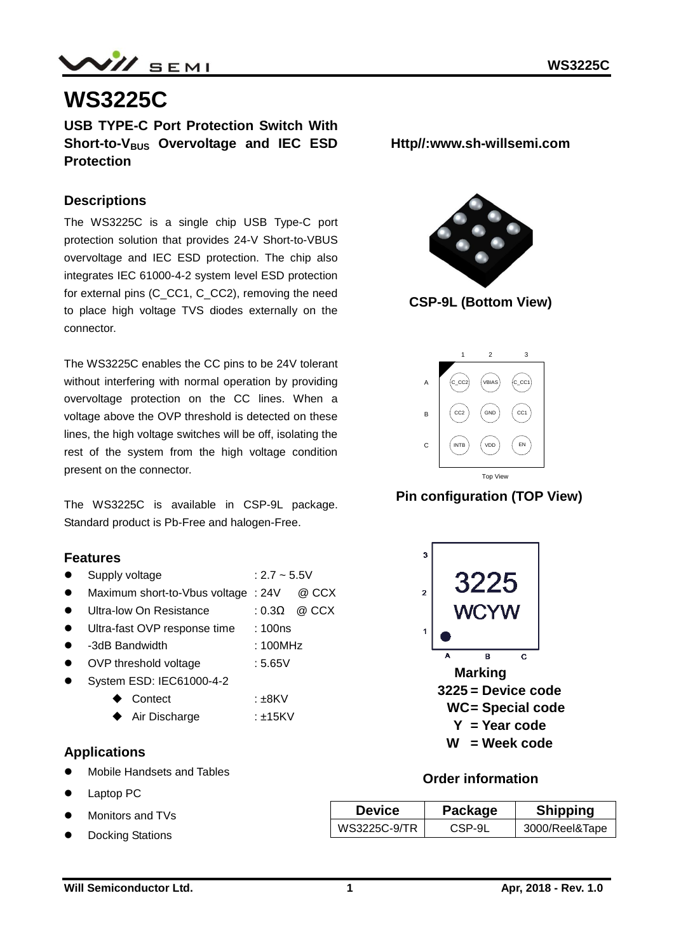

# **WS3225C**

**USB TYPE-C Port Protection Switch With Short-to-VBUS Overvoltage and IEC ESD Protection**

### **Descriptions**

The WS3225C is a single chip USB Type-C port protection solution that provides 24-V Short-to-VBUS overvoltage and IEC ESD protection. The chip also integrates IEC 61000-4-2 system level ESD protection for external pins (C\_CC1, C\_CC2), removing the need to place high voltage TVS diodes externally on the connector.

The WS3225C enables the CC pins to be 24V tolerant without interfering with normal operation by providing overvoltage protection on the CC lines. When a voltage above the OVP threshold is detected on these lines, the high voltage switches will be off, isolating the rest of the system from the high voltage condition present on the connector.

The WS3225C is available in CSP-9L package. Standard product is Pb-Free and halogen-Free.

#### **Features**

- Supply voltage  $: 2.7 \sim 5.5V$
- Maximum short-to-Vbus voltage : 24V @ CCX
- Ultra-low On Resistance : 0.3Ω @ CCX
- Ultra-fast OVP response time : 100ns
- -3dB Bandwidth : 100MHz
- OVP threshold voltage : 5.65V
- System ESD: IEC61000-4-2
	- ◆ Contect :±8KV
	- ◆ Air Discharge : ±15KV

#### **Applications**

- Mobile Handsets and Tables
- Laptop PC
- Monitors and TVs
- Docking Stations

**Http//:www.sh-willsemi.com**



**CSP-9L (Bottom View)**



### **Pin configuration (TOP View)**



#### **Order information**

| <b>Device</b> | Package | <b>Shipping</b> |  |  |
|---------------|---------|-----------------|--|--|
| WS3225C-9/TR  | CSP-9L  | 3000/Reel&Tape  |  |  |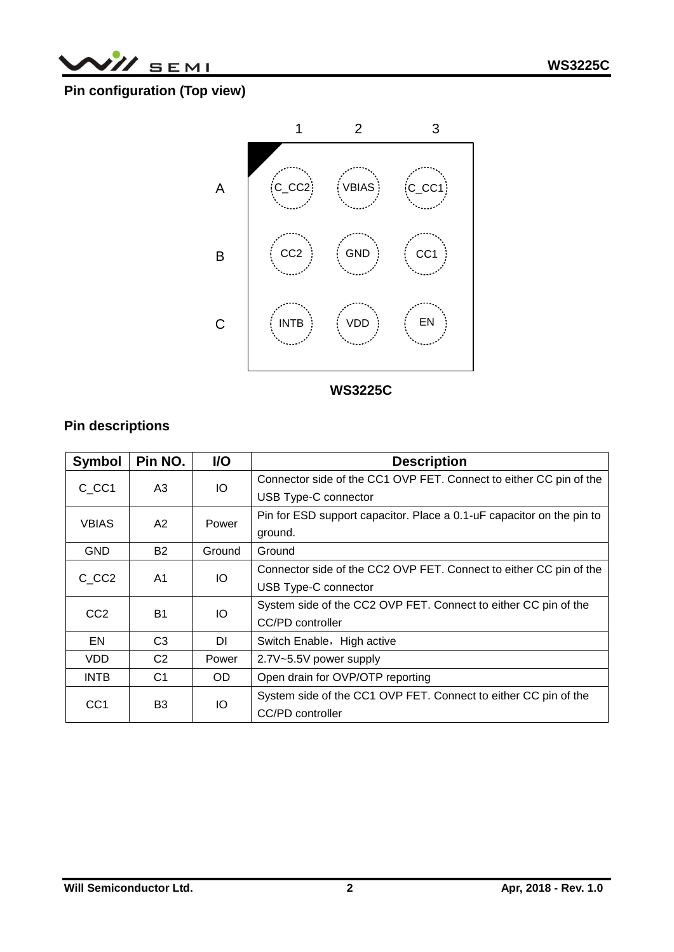

# **Pin configuration (Top view)**



**Top View WS3225C** 

# **Pin descriptions**

| Symbol                  | Pin NO.        | <b>VO</b> | <b>Description</b>                                                    |
|-------------------------|----------------|-----------|-----------------------------------------------------------------------|
| C CC1                   | IO<br>A3       |           | Connector side of the CC1 OVP FET. Connect to either CC pin of the    |
|                         |                |           | USB Type-C connector                                                  |
| <b>VBIAS</b>            | A2             | Power     | Pin for ESD support capacitor. Place a 0.1-uF capacitor on the pin to |
|                         |                |           | ground.                                                               |
| <b>GND</b>              | <b>B2</b>      | Ground    | Ground                                                                |
| C CC <sub>2</sub><br>A1 |                | IO.       | Connector side of the CC2 OVP FET. Connect to either CC pin of the    |
|                         |                |           | USB Type-C connector                                                  |
| CC <sub>2</sub>         | <b>B1</b>      | IO        | System side of the CC2 OVP FET. Connect to either CC pin of the       |
|                         |                |           | CC/PD controller                                                      |
| EN                      | C <sub>3</sub> | DI        | Switch Enable, High active                                            |
| <b>VDD</b>              | C <sub>2</sub> | Power     | 2.7V~5.5V power supply                                                |
| <b>INTB</b>             | C <sub>1</sub> | OD.       | Open drain for OVP/OTP reporting                                      |
| CC <sub>1</sub>         | B3             | IO        | System side of the CC1 OVP FET. Connect to either CC pin of the       |
|                         |                |           | CC/PD controller                                                      |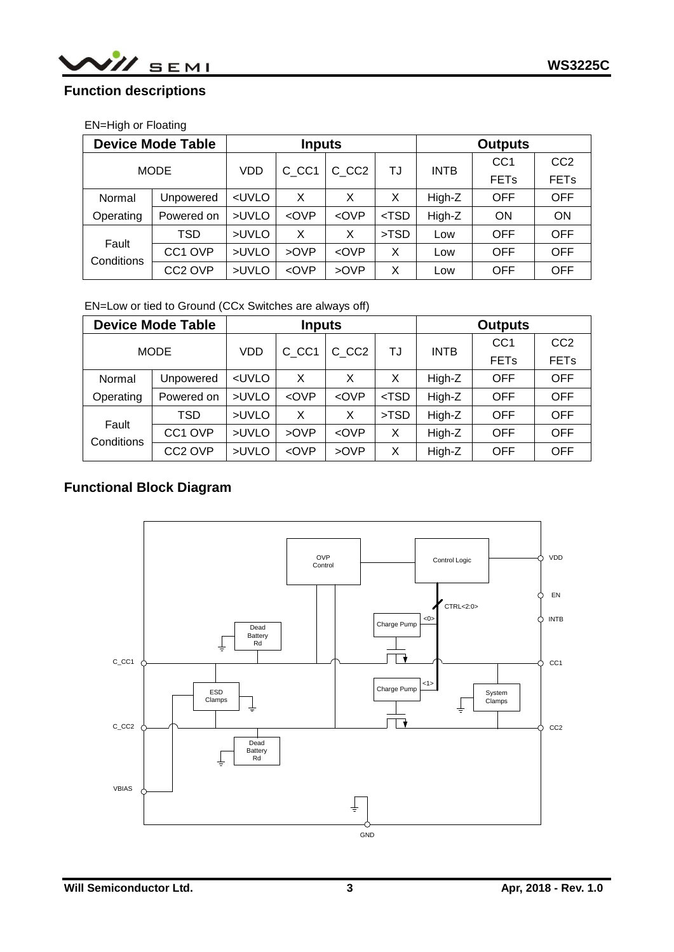# **Function descriptions**

### EN=High or Floating

| <b>Device Mode Table</b> |                     | <b>Inputs</b>                                                                                            |                                                                                                                   |                                                                                       |         | <b>Outputs</b> |                        |                 |  |
|--------------------------|---------------------|----------------------------------------------------------------------------------------------------------|-------------------------------------------------------------------------------------------------------------------|---------------------------------------------------------------------------------------|---------|----------------|------------------------|-----------------|--|
|                          |                     | <b>VDD</b>                                                                                               | C CC1                                                                                                             | C CC <sub>2</sub>                                                                     |         | <b>INTB</b>    | CC <sub>1</sub>        | CC <sub>2</sub> |  |
| <b>MODE</b>              |                     |                                                                                                          |                                                                                                                   |                                                                                       | TJ      |                | <b>FET<sub>s</sub></b> | <b>FETs</b>     |  |
| Normal                   | Unpowered           | <uvlo< td=""><td>X</td><td>X</td><td>X</td><td>High-Z</td><td><b>OFF</b></td><td><b>OFF</b></td></uvlo<> | X                                                                                                                 | X                                                                                     | X       | High-Z         | <b>OFF</b>             | <b>OFF</b>      |  |
| Operating                | Powered on          | >UVLO                                                                                                    | <ovp< td=""><td><ovp< td=""><td><math>&lt;</math>TSD</td><td>High-Z</td><td>ON</td><td>ON</td></ovp<></td></ovp<> | <ovp< td=""><td><math>&lt;</math>TSD</td><td>High-Z</td><td>ON</td><td>ON</td></ovp<> | $<$ TSD | High-Z         | ON                     | ON              |  |
| Fault<br>Conditions      | TSD                 | >UVLO                                                                                                    | X                                                                                                                 | X                                                                                     | >TSD    | Low            | <b>OFF</b>             | <b>OFF</b>      |  |
|                          | CC <sub>1</sub> OVP | >UVLO                                                                                                    | >OVP                                                                                                              | <ovp< td=""><td>X</td><td>Low</td><td><b>OFF</b></td><td><b>OFF</b></td></ovp<>       | X       | Low            | <b>OFF</b>             | <b>OFF</b>      |  |
|                          | CC <sub>2</sub> OVP | >UVLO                                                                                                    | <ovp< td=""><td>&gt;OVP</td><td>X</td><td>Low</td><td><b>OFF</b></td><td><b>OFF</b></td></ovp<>                   | >OVP                                                                                  | X       | Low            | <b>OFF</b>             | <b>OFF</b>      |  |

#### EN=Low or tied to Ground (CCx Switches are always off)

|                     | <b>Device Mode Table</b> | <b>Inputs</b>                                                                                            |                                                                                                                                       |                                                                                    |         | <b>Outputs</b> |                 |                 |  |
|---------------------|--------------------------|----------------------------------------------------------------------------------------------------------|---------------------------------------------------------------------------------------------------------------------------------------|------------------------------------------------------------------------------------|---------|----------------|-----------------|-----------------|--|
|                     | <b>MODE</b>              | VDD                                                                                                      | C CC1                                                                                                                                 | C CC <sub>2</sub>                                                                  |         | <b>INTB</b>    | CC <sub>1</sub> | CC <sub>2</sub> |  |
|                     |                          |                                                                                                          |                                                                                                                                       |                                                                                    | TJ      |                | <b>FETs</b>     | <b>FETs</b>     |  |
| Normal              | Unpowered                | <uvlo< td=""><td>X</td><td>X</td><td>X</td><td>High-Z</td><td><b>OFF</b></td><td><b>OFF</b></td></uvlo<> | X                                                                                                                                     | X                                                                                  | X       | High-Z         | <b>OFF</b>      | <b>OFF</b>      |  |
| Operating           | Powered on               | >UVLO                                                                                                    | <ovp< td=""><td><math>\langle</math>OVP</td><td><math>&lt;</math>TSD</td><td>High-Z</td><td><b>OFF</b></td><td><b>OFF</b></td></ovp<> | $\langle$ OVP                                                                      | $<$ TSD | High-Z         | <b>OFF</b>      | <b>OFF</b>      |  |
| Fault<br>Conditions | TSD                      | >UVLO                                                                                                    | X                                                                                                                                     | X                                                                                  | >TSD    | High-Z         | <b>OFF</b>      | <b>OFF</b>      |  |
|                     | CC1 OVP                  | >UVLO                                                                                                    | >OVP                                                                                                                                  | <ovp< td=""><td>X</td><td>High-Z</td><td><b>OFF</b></td><td><b>OFF</b></td></ovp<> | X       | High-Z         | <b>OFF</b>      | <b>OFF</b>      |  |
|                     | CC <sub>2</sub> OVP      | >UVLO                                                                                                    | <ovp< td=""><td>&gt;OVP</td><td>X</td><td>High-Z</td><td><b>OFF</b></td><td><b>OFF</b></td></ovp<>                                    | >OVP                                                                               | X       | High-Z         | <b>OFF</b>      | <b>OFF</b>      |  |

# **Functional Block Diagram**

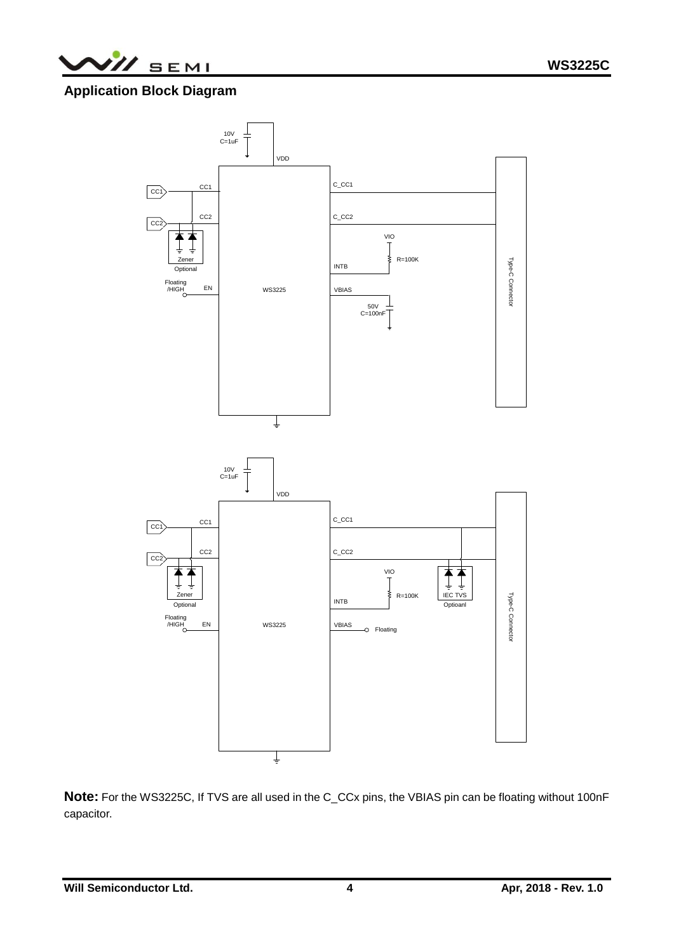

# **Application Block Diagram**



**Note:** For the WS3225C, If TVS are all used in the C\_CCx pins, the VBIAS pin can be floating without 100nF capacitor.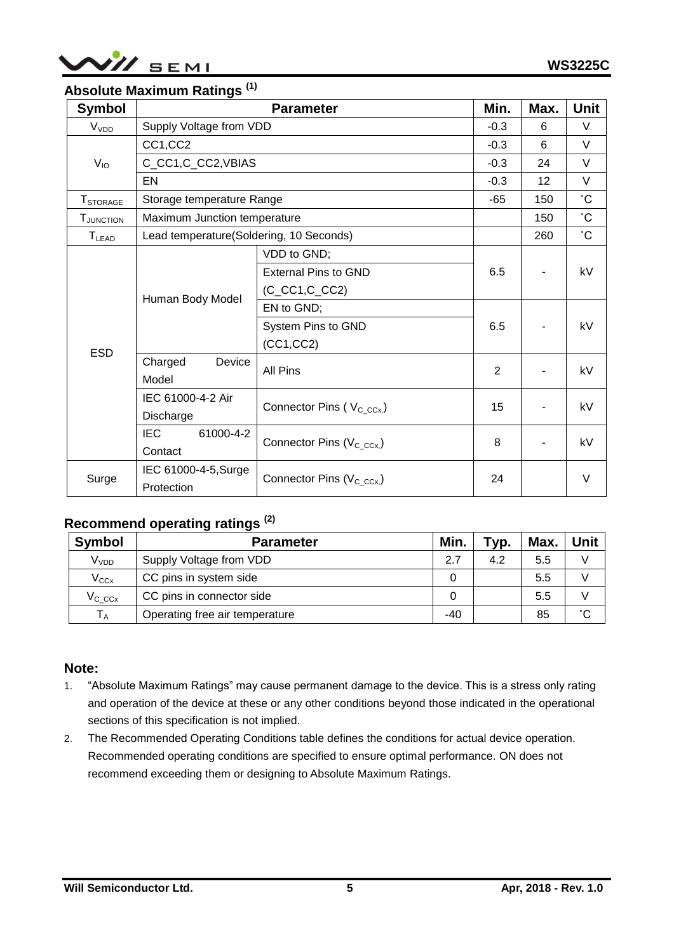

# **Absolute Maximum Ratings (1)**

| <b>Symbol</b>                                                        |                                         | Min.<br><b>Parameter</b>              |        | Max. | Unit            |
|----------------------------------------------------------------------|-----------------------------------------|---------------------------------------|--------|------|-----------------|
| V <sub>VDD</sub>                                                     | Supply Voltage from VDD                 | $-0.3$                                |        | 6    | $\vee$          |
|                                                                      | CC1,CC2                                 |                                       | $-0.3$ | 6    | $\vee$          |
| $V_{10}$                                                             | C_CC1,C_CC2,VBIAS                       |                                       | $-0.3$ | 24   | $\vee$          |
| <b>T</b> STORAGE<br><b>T</b> JUNCTION<br><b>T</b> LEAD<br><b>ESD</b> | EN                                      |                                       |        | 12   | $\vee$          |
|                                                                      |                                         | Storage temperature Range             |        | 150  | $\rm ^{\circ}C$ |
|                                                                      | Maximum Junction temperature            |                                       |        | 150  | $\rm ^{\circ}C$ |
|                                                                      | Lead temperature(Soldering, 10 Seconds) |                                       |        | 260  | $\rm ^{\circ}C$ |
|                                                                      |                                         | VDD to GND;                           |        |      |                 |
|                                                                      | Human Body Model                        | <b>External Pins to GND</b>           | 6.5    |      | kV              |
|                                                                      |                                         | $(C_CCC1, C_CCC2)$                    |        |      |                 |
|                                                                      |                                         | EN to GND;                            |        |      |                 |
|                                                                      |                                         | System Pins to GND                    | 6.5    |      | kV              |
|                                                                      |                                         | (CC1, CC2)                            |        |      |                 |
|                                                                      | Charged<br>Device<br>Model              | <b>All Pins</b>                       | 2      |      | kV              |
|                                                                      | IEC 61000-4-2 Air                       |                                       | 15     |      | kV              |
|                                                                      | Discharge                               | Connector Pins (V <sub>C_CCx,</sub> ) |        |      |                 |
|                                                                      | <b>IEC</b><br>61000-4-2                 | Connector Pins (V <sub>C_CCx,</sub> ) | 8      |      | kV              |
|                                                                      | Contact                                 |                                       |        |      |                 |
| Surge                                                                | IEC 61000-4-5, Surge                    | Connector Pins ( $V_{C\ C\ c}$ )      | 24     |      | $\vee$          |
|                                                                      | Protection                              |                                       |        |      |                 |

# **Recommend operating ratings (2)**

| <b>Symbol</b>    | <b>Parameter</b>               | Min. | тур. | Max. | Unit |
|------------------|--------------------------------|------|------|------|------|
| V <sub>VDD</sub> | Supply Voltage from VDD        | 2.7  | 4.2  | 5.5  |      |
| $V_{CCx}$        | CC pins in system side         | 0    |      | 5.5  |      |
| $V_{C\ C\alpha}$ | CC pins in connector side      | 0    |      | 5.5  |      |
| $T_A$            | Operating free air temperature | -40  |      | 85   | °С   |

### **Note:**

- 1. "Absolute Maximum Ratings" may cause permanent damage to the device. This is a stress only rating and operation of the device at these or any other conditions beyond those indicated in the operational sections of this specification is not implied.
- 2. The Recommended Operating Conditions table defines the conditions for actual device operation. Recommended operating conditions are specified to ensure optimal performance. ON does not recommend exceeding them or designing to Absolute Maximum Ratings.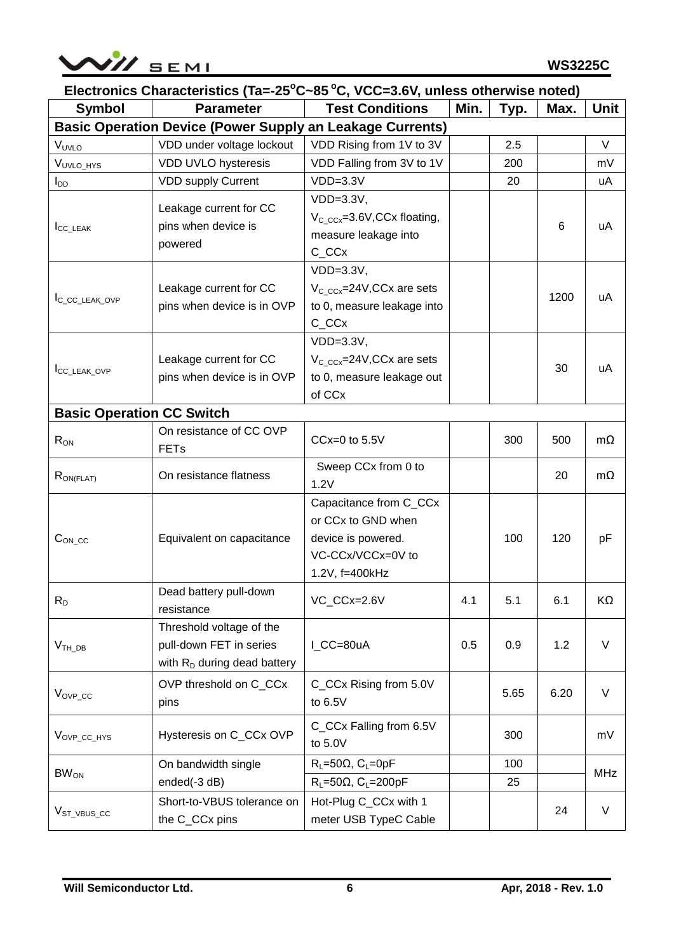

| Electronics Characteristics (Ta=-25°C~85°C, VCC=3.6V, unless otherwise noted) |                                                                                       |                                                                                                           |      |      |      |            |  |  |
|-------------------------------------------------------------------------------|---------------------------------------------------------------------------------------|-----------------------------------------------------------------------------------------------------------|------|------|------|------------|--|--|
| <b>Symbol</b>                                                                 | <b>Parameter</b>                                                                      | <b>Test Conditions</b>                                                                                    | Min. | Typ. | Max. | Unit       |  |  |
|                                                                               | <b>Basic Operation Device (Power Supply an Leakage Currents)</b>                      |                                                                                                           |      |      |      |            |  |  |
| VUVLO                                                                         | VDD under voltage lockout                                                             | VDD Rising from 1V to 3V                                                                                  |      | 2.5  |      | $\vee$     |  |  |
| VUVLO_HYS                                                                     | VDD UVLO hysteresis                                                                   | VDD Falling from 3V to 1V                                                                                 |      | 200  |      | mV         |  |  |
| $I_{DD}$                                                                      | <b>VDD supply Current</b>                                                             | $VDD=3.3V$                                                                                                |      | 20   |      | uA         |  |  |
| I <sub>CC_LEAK</sub>                                                          | Leakage current for CC<br>pins when device is<br>powered                              | $VDD=3.3V,$<br>$V_C_{Cex}$ =3.6V, CCx floating,<br>measure leakage into<br>C_CCx                          |      |      | 6    | uA         |  |  |
| IC_CC_LEAK_OVP                                                                | Leakage current for CC<br>pins when device is in OVP                                  | $VDD=3.3V,$<br>$V_{C\ Cc}$ = 24V, CCx are sets<br>to 0, measure leakage into<br>C_CCx                     |      |      | 1200 | uA         |  |  |
| ICC_LEAK_OVP                                                                  | Leakage current for CC<br>pins when device is in OVP                                  | $VDD=3.3V,$<br>$V_{C\ Cc}$ = 24V, CCx are sets<br>to 0, measure leakage out<br>of CCx                     |      |      | 30   | uA         |  |  |
| <b>Basic Operation CC Switch</b>                                              |                                                                                       |                                                                                                           |      |      |      |            |  |  |
| $R_{ON}$                                                                      | On resistance of CC OVP<br><b>FETs</b>                                                | $CCx=0$ to 5.5V                                                                                           |      | 300  | 500  | $m\Omega$  |  |  |
| $R_{ON(FLAT)}$                                                                | On resistance flatness                                                                | Sweep CCx from 0 to<br>1.2V                                                                               |      |      | 20   | $m\Omega$  |  |  |
| $C_{ON\_CC}$                                                                  | Equivalent on capacitance                                                             | Capacitance from C_CCx<br>or CCx to GND when<br>device is powered.<br>VC-CCx/VCCx=0V to<br>1.2V, f=400kHz |      | 100  | 120  | pF         |  |  |
| $R_D$                                                                         | Dead battery pull-down<br>resistance                                                  | VC_CCx=2.6V                                                                                               | 4.1  | 5.1  | 6.1  | KΩ         |  |  |
| V <sub>TH DB</sub>                                                            | Threshold voltage of the<br>pull-down FET in series<br>with $R_D$ during dead battery | I_CC=80uA                                                                                                 | 0.5  | 0.9  | 1.2  | $\vee$     |  |  |
| $V_{OVP\_CC}$                                                                 | OVP threshold on C_CCx<br>pins                                                        | C_CCx Rising from 5.0V<br>to 6.5V                                                                         |      | 5.65 | 6.20 | $\vee$     |  |  |
| V <sub>OVP_CC_HYS</sub>                                                       | Hysteresis on C_CCx OVP                                                               | C_CCx Falling from 6.5V<br>to 5.0V                                                                        |      | 300  |      | mV         |  |  |
|                                                                               | On bandwidth single                                                                   | $R_L = 50\Omega$ , C <sub>L</sub> =0pF                                                                    |      | 100  |      | <b>MHz</b> |  |  |
| $BW_{ON}$                                                                     | ended(-3 dB)                                                                          | $R_L = 50\Omega$ , C <sub>L</sub> =200pF                                                                  |      | 25   |      |            |  |  |
| $VST_VBUS_Cc$                                                                 | Short-to-VBUS tolerance on<br>the C_CCx pins                                          | Hot-Plug C_CCx with 1<br>meter USB TypeC Cable                                                            |      |      | 24   | $\vee$     |  |  |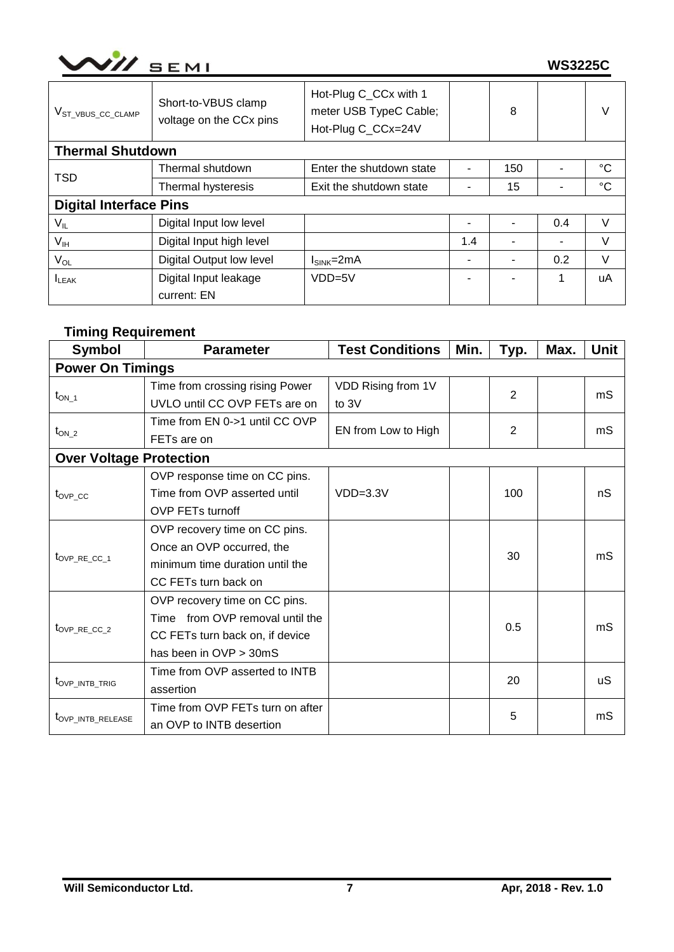| $\sim$ $\sim$ | мı<br>77 S<br>- |
|---------------|-----------------|
|               |                 |

| V <sub>ST_VBUS_CC_CLAMP</sub> | Short-to-VBUS clamp<br>voltage on the CCx pins | Hot-Plug C_CCx with 1<br>meter USB TypeC Cable;<br>Hot-Plug C_CCx=24V |     | 8                        |                          | V  |
|-------------------------------|------------------------------------------------|-----------------------------------------------------------------------|-----|--------------------------|--------------------------|----|
| <b>Thermal Shutdown</b>       |                                                |                                                                       |     |                          |                          |    |
| <b>TSD</b>                    | Thermal shutdown                               | Enter the shutdown state                                              | ۰   | 150                      |                          | °C |
|                               | Thermal hysteresis<br>Exit the shutdown state  |                                                                       | ۰   | 15                       | ۰                        | °C |
| <b>Digital Interface Pins</b> |                                                |                                                                       |     |                          |                          |    |
| $V_{IL}$                      | Digital Input low level                        |                                                                       | ۰   |                          | 0.4                      | V  |
| $V_{\text{IH}}$               | Digital Input high level                       |                                                                       | 1.4 | $\overline{\phantom{0}}$ | $\overline{\phantom{a}}$ | V  |
| $V_{OL}$                      | Digital Output low level                       | $I_{SINK} = 2mA$                                                      | ۰   | -                        | 0.2                      | V  |
| <b>ILEAK</b>                  | Digital Input leakage                          | $VDD=5V$                                                              | ۰   | $\blacksquare$           | 1                        | uA |
|                               | current: EN                                    |                                                                       |     |                          |                          |    |

# **Timing Requirement**

| <b>Symbol</b>                  | <b>Parameter</b>                 | <b>Test Conditions</b>                                                                                                                     | Min. | Typ. | Max. | <b>Unit</b> |
|--------------------------------|----------------------------------|--------------------------------------------------------------------------------------------------------------------------------------------|------|------|------|-------------|
| <b>Power On Timings</b>        |                                  |                                                                                                                                            |      |      |      |             |
|                                | Time from crossing rising Power  | VDD Rising from 1V                                                                                                                         |      |      |      |             |
| $t_{ON\_1}$                    | UVLO until CC OVP FETs are on    | $\overline{2}$<br>mS<br>to 3V<br>2<br>mS<br>EN from Low to High<br>nS<br>$VDD=3.3V$<br>100<br>30<br>mS<br>0.5<br>mS<br>20<br>uS<br>5<br>mS |      |      |      |             |
|                                | Time from EN 0->1 until CC OVP   |                                                                                                                                            |      |      |      |             |
| $t_{ON_2}$                     | FET <sub>s</sub> are on          |                                                                                                                                            |      |      |      |             |
| <b>Over Voltage Protection</b> |                                  |                                                                                                                                            |      |      |      |             |
|                                | OVP response time on CC pins.    |                                                                                                                                            |      |      |      |             |
| $t_{OVP}$ cc                   | Time from OVP asserted until     |                                                                                                                                            |      |      |      |             |
|                                | <b>OVP FETs turnoff</b>          |                                                                                                                                            |      |      |      |             |
|                                | OVP recovery time on CC pins.    |                                                                                                                                            |      |      |      |             |
|                                | Once an OVP occurred, the        |                                                                                                                                            |      |      |      |             |
| tovp RE CC 1                   | minimum time duration until the  |                                                                                                                                            |      |      |      |             |
|                                | CC FETs turn back on             |                                                                                                                                            |      |      |      |             |
|                                | OVP recovery time on CC pins.    |                                                                                                                                            |      |      |      |             |
|                                | Time from OVP removal until the  |                                                                                                                                            |      |      |      |             |
| $t_{\text{OVP\_RE\_CC\_2}}$    | CC FETs turn back on, if device  |                                                                                                                                            |      |      |      |             |
|                                | has been in OVP > 30mS           |                                                                                                                                            |      |      |      |             |
|                                | Time from OVP asserted to INTB   |                                                                                                                                            |      |      |      |             |
| t <sub>OVP_INTB_TRIG</sub>     | assertion                        |                                                                                                                                            |      |      |      |             |
|                                | Time from OVP FETs turn on after |                                                                                                                                            |      |      |      |             |
| t <sub>OVP_INTB_RELEASE</sub>  | an OVP to INTB desertion         |                                                                                                                                            |      |      |      |             |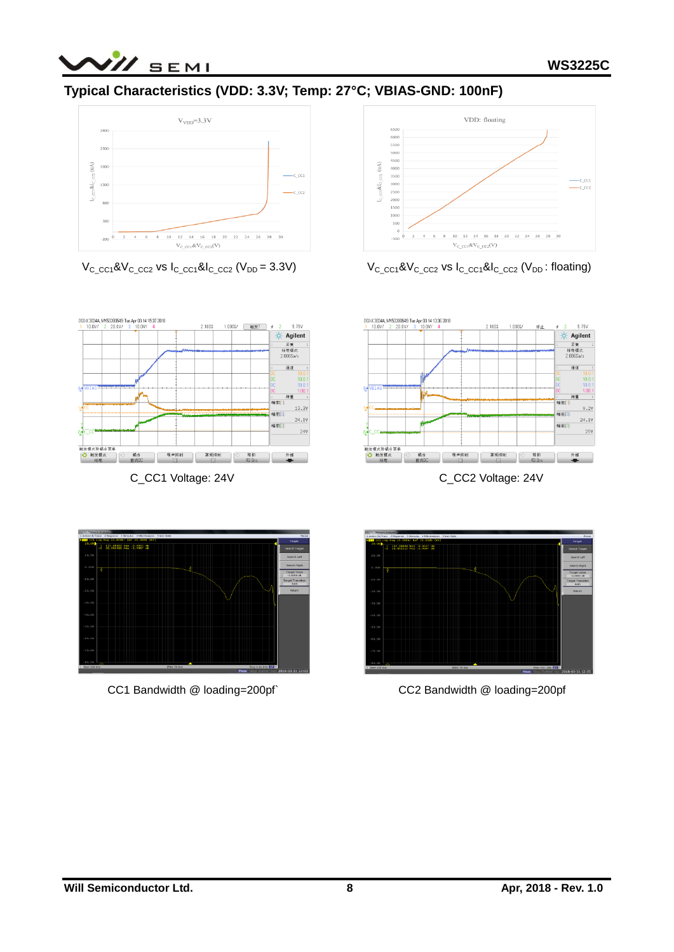

# **Typical Characteristics (VDD: 3.3V; Temp: 27°C; VBIAS-GND: 100nF)**





 $V_{C\_CC1}$ & $V_{C\_CC2}$  vs  $I_{C\_CC1}$ & $I_{C\_CC2}$  ( $V_{DD}$  = 3.3V)  $V_{C\_CC1}$ & $V_{C\_CC2}$  vs  $I_{C\_CC1}$ & $I_{C\_CC2}$  ( $V_{DD}$ : floating)



C\_CC1 Voltage: 24V C\_CC2 Voltage: 24V





CC1 Bandwidth @ loading=200pf` CC2 Bandwidth @ loading=200pf

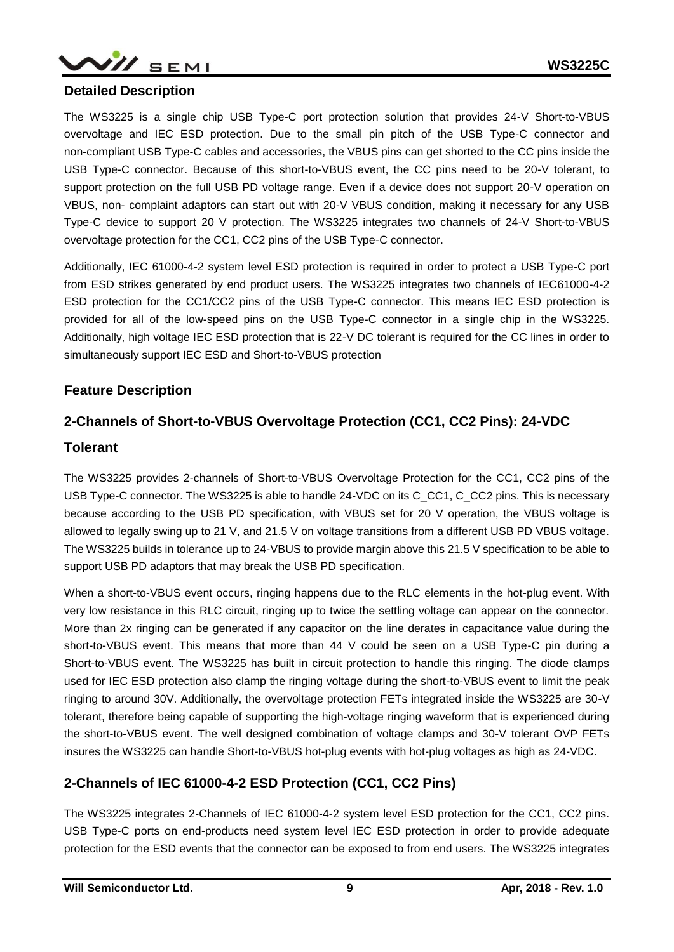

### **Detailed Description**

The WS3225 is a single chip USB Type-C port protection solution that provides 24-V Short-to-VBUS overvoltage and IEC ESD protection. Due to the small pin pitch of the USB Type-C connector and non-compliant USB Type-C cables and accessories, the VBUS pins can get shorted to the CC pins inside the USB Type-C connector. Because of this short-to-VBUS event, the CC pins need to be 20-V tolerant, to support protection on the full USB PD voltage range. Even if a device does not support 20-V operation on VBUS, non- complaint adaptors can start out with 20-V VBUS condition, making it necessary for any USB Type-C device to support 20 V protection. The WS3225 integrates two channels of 24-V Short-to-VBUS overvoltage protection for the CC1, CC2 pins of the USB Type-C connector.

Additionally, IEC 61000-4-2 system level ESD protection is required in order to protect a USB Type-C port from ESD strikes generated by end product users. The WS3225 integrates two channels of IEC61000-4-2 ESD protection for the CC1/CC2 pins of the USB Type-C connector. This means IEC ESD protection is provided for all of the low-speed pins on the USB Type-C connector in a single chip in the WS3225. Additionally, high voltage IEC ESD protection that is 22-V DC tolerant is required for the CC lines in order to simultaneously support IEC ESD and Short-to-VBUS protection

## **Feature Description**

### **2-Channels of Short-to-VBUS Overvoltage Protection (CC1, CC2 Pins): 24-VDC**

#### **Tolerant**

The WS3225 provides 2-channels of Short-to-VBUS Overvoltage Protection for the CC1, CC2 pins of the USB Type-C connector. The WS3225 is able to handle 24-VDC on its C CC1, C CC2 pins. This is necessary because according to the USB PD specification, with VBUS set for 20 V operation, the VBUS voltage is allowed to legally swing up to 21 V, and 21.5 V on voltage transitions from a different USB PD VBUS voltage. The WS3225 builds in tolerance up to 24-VBUS to provide margin above this 21.5 V specification to be able to support USB PD adaptors that may break the USB PD specification.

When a short-to-VBUS event occurs, ringing happens due to the RLC elements in the hot-plug event. With very low resistance in this RLC circuit, ringing up to twice the settling voltage can appear on the connector. More than 2x ringing can be generated if any capacitor on the line derates in capacitance value during the short-to-VBUS event. This means that more than 44 V could be seen on a USB Type-C pin during a Short-to-VBUS event. The WS3225 has built in circuit protection to handle this ringing. The diode clamps used for IEC ESD protection also clamp the ringing voltage during the short-to-VBUS event to limit the peak ringing to around 30V. Additionally, the overvoltage protection FETs integrated inside the WS3225 are 30-V tolerant, therefore being capable of supporting the high-voltage ringing waveform that is experienced during the short-to-VBUS event. The well designed combination of voltage clamps and 30-V tolerant OVP FETs insures the WS3225 can handle Short-to-VBUS hot-plug events with hot-plug voltages as high as 24-VDC.

## **2-Channels of IEC 61000-4-2 ESD Protection (CC1, CC2 Pins)**

The WS3225 integrates 2-Channels of IEC 61000-4-2 system level ESD protection for the CC1, CC2 pins. USB Type-C ports on end-products need system level IEC ESD protection in order to provide adequate protection for the ESD events that the connector can be exposed to from end users. The WS3225 integrates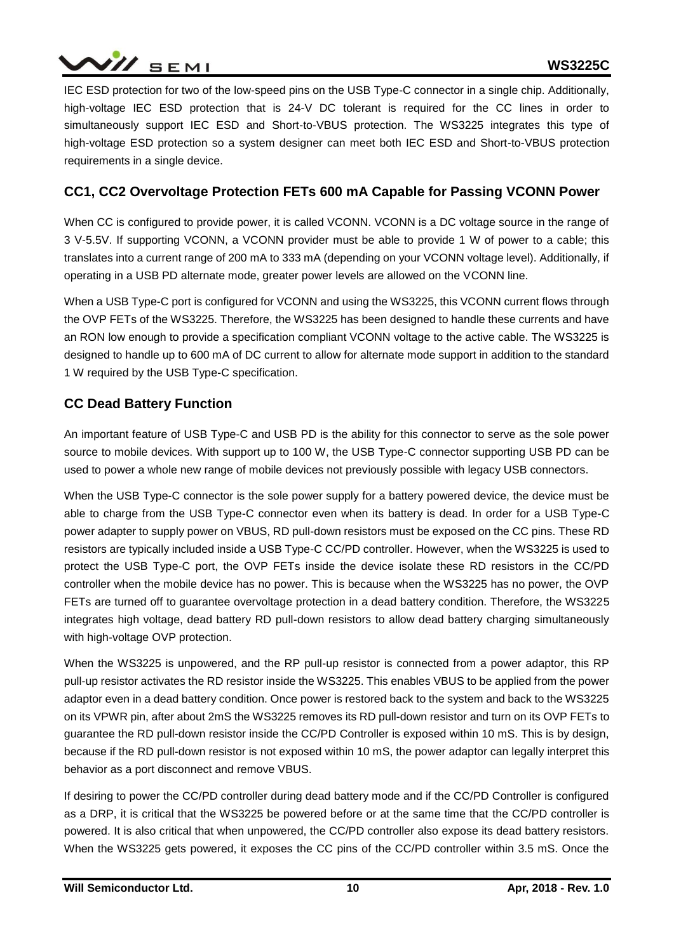

IEC ESD protection for two of the low-speed pins on the USB Type-C connector in a single chip. Additionally, high-voltage IEC ESD protection that is 24-V DC tolerant is required for the CC lines in order to simultaneously support IEC ESD and Short-to-VBUS protection. The WS3225 integrates this type of high-voltage ESD protection so a system designer can meet both IEC ESD and Short-to-VBUS protection requirements in a single device.

## **CC1, CC2 Overvoltage Protection FETs 600 mA Capable for Passing VCONN Power**

When CC is configured to provide power, it is called VCONN. VCONN is a DC voltage source in the range of 3 V-5.5V. If supporting VCONN, a VCONN provider must be able to provide 1 W of power to a cable; this translates into a current range of 200 mA to 333 mA (depending on your VCONN voltage level). Additionally, if operating in a USB PD alternate mode, greater power levels are allowed on the VCONN line.

When a USB Type-C port is configured for VCONN and using the WS3225, this VCONN current flows through the OVP FETs of the WS3225. Therefore, the WS3225 has been designed to handle these currents and have an RON low enough to provide a specification compliant VCONN voltage to the active cable. The WS3225 is designed to handle up to 600 mA of DC current to allow for alternate mode support in addition to the standard 1 W required by the USB Type-C specification.

### **CC Dead Battery Function**

An important feature of USB Type-C and USB PD is the ability for this connector to serve as the sole power source to mobile devices. With support up to 100 W, the USB Type-C connector supporting USB PD can be used to power a whole new range of mobile devices not previously possible with legacy USB connectors.

When the USB Type-C connector is the sole power supply for a battery powered device, the device must be able to charge from the USB Type-C connector even when its battery is dead. In order for a USB Type-C power adapter to supply power on VBUS, RD pull-down resistors must be exposed on the CC pins. These RD resistors are typically included inside a USB Type-C CC/PD controller. However, when the WS3225 is used to protect the USB Type-C port, the OVP FETs inside the device isolate these RD resistors in the CC/PD controller when the mobile device has no power. This is because when the WS3225 has no power, the OVP FETs are turned off to guarantee overvoltage protection in a dead battery condition. Therefore, the WS3225 integrates high voltage, dead battery RD pull-down resistors to allow dead battery charging simultaneously with high-voltage OVP protection.

When the WS3225 is unpowered, and the RP pull-up resistor is connected from a power adaptor, this RP pull-up resistor activates the RD resistor inside the WS3225. This enables VBUS to be applied from the power adaptor even in a dead battery condition. Once power is restored back to the system and back to the WS3225 on its VPWR pin, after about 2mS the WS3225 removes its RD pull-down resistor and turn on its OVP FETs to guarantee the RD pull-down resistor inside the CC/PD Controller is exposed within 10 mS. This is by design, because if the RD pull-down resistor is not exposed within 10 mS, the power adaptor can legally interpret this behavior as a port disconnect and remove VBUS.

If desiring to power the CC/PD controller during dead battery mode and if the CC/PD Controller is configured as a DRP, it is critical that the WS3225 be powered before or at the same time that the CC/PD controller is powered. It is also critical that when unpowered, the CC/PD controller also expose its dead battery resistors. When the WS3225 gets powered, it exposes the CC pins of the CC/PD controller within 3.5 mS. Once the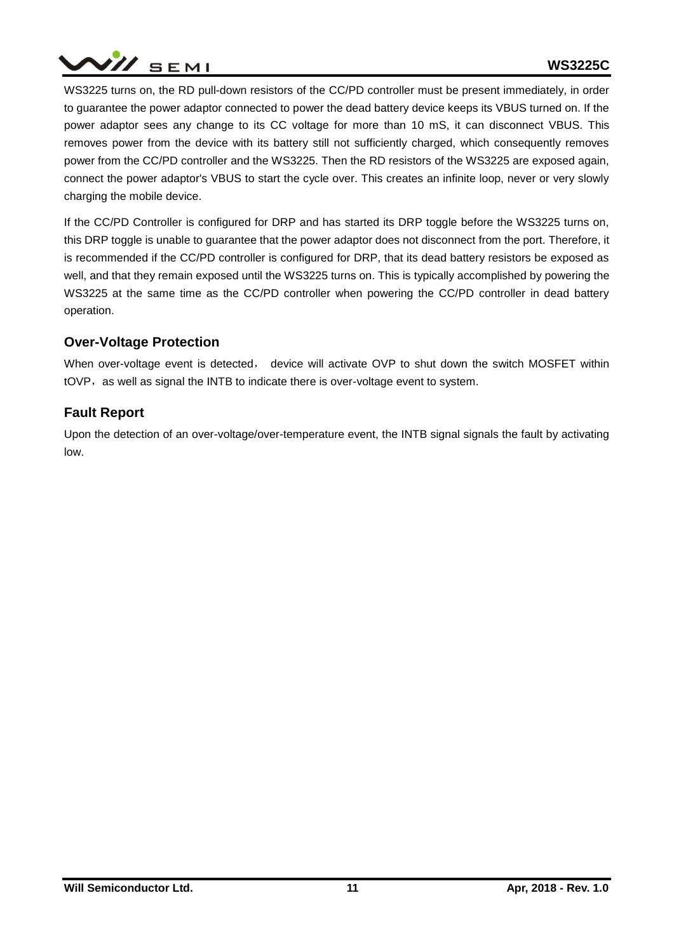

WS3225 turns on, the RD pull-down resistors of the CC/PD controller must be present immediately, in order to guarantee the power adaptor connected to power the dead battery device keeps its VBUS turned on. If the power adaptor sees any change to its CC voltage for more than 10 mS, it can disconnect VBUS. This removes power from the device with its battery still not sufficiently charged, which consequently removes power from the CC/PD controller and the WS3225. Then the RD resistors of the WS3225 are exposed again, connect the power adaptor's VBUS to start the cycle over. This creates an infinite loop, never or very slowly charging the mobile device.

If the CC/PD Controller is configured for DRP and has started its DRP toggle before the WS3225 turns on, this DRP toggle is unable to guarantee that the power adaptor does not disconnect from the port. Therefore, it is recommended if the CC/PD controller is configured for DRP, that its dead battery resistors be exposed as well, and that they remain exposed until the WS3225 turns on. This is typically accomplished by powering the WS3225 at the same time as the CC/PD controller when powering the CC/PD controller in dead battery operation.

## **Over-Voltage Protection**

When over-voltage event is detected, device will activate OVP to shut down the switch MOSFET within tOVP, as well as signal the INTB to indicate there is over-voltage event to system.

## **Fault Report**

Upon the detection of an over-voltage/over-temperature event, the INTB signal signals the fault by activating low.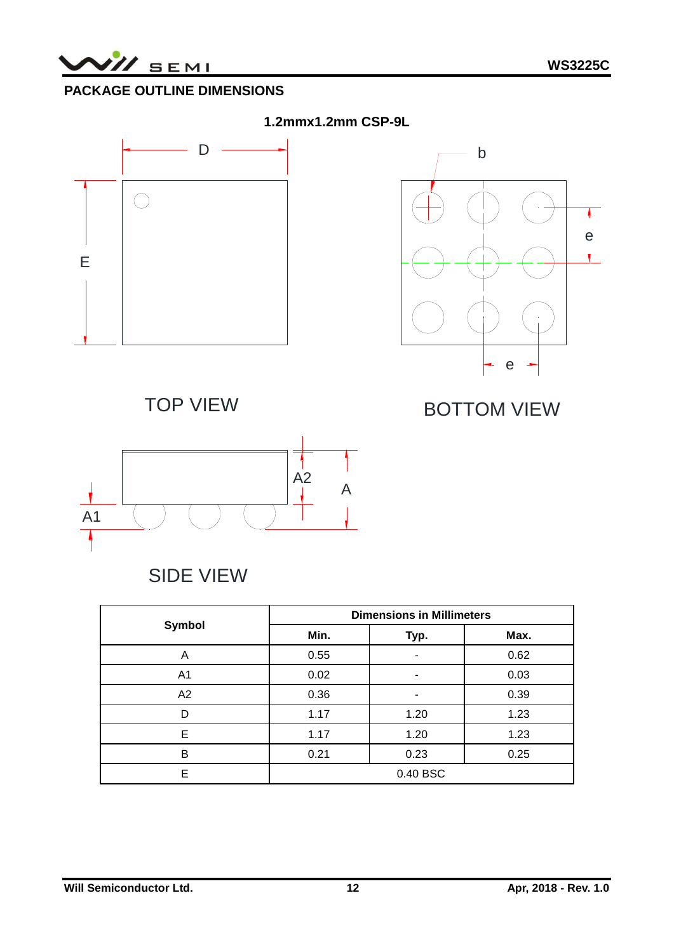

# **PACKAGE OUTLINE DIMENSIONS**



SIDE VIEW

|                | <b>Dimensions in Millimeters</b> |      |      |  |  |  |
|----------------|----------------------------------|------|------|--|--|--|
| Symbol         | Min.                             | Typ. | Max. |  |  |  |
| Α              | 0.55                             |      | 0.62 |  |  |  |
| A <sub>1</sub> | 0.02                             |      | 0.03 |  |  |  |
| A2             | 0.36                             |      | 0.39 |  |  |  |
| D              | 1.17                             | 1.20 | 1.23 |  |  |  |
| Е              | 1.17                             | 1.20 | 1.23 |  |  |  |
| B              | 0.21                             | 0.23 | 0.25 |  |  |  |
| F              | 0.40 BSC                         |      |      |  |  |  |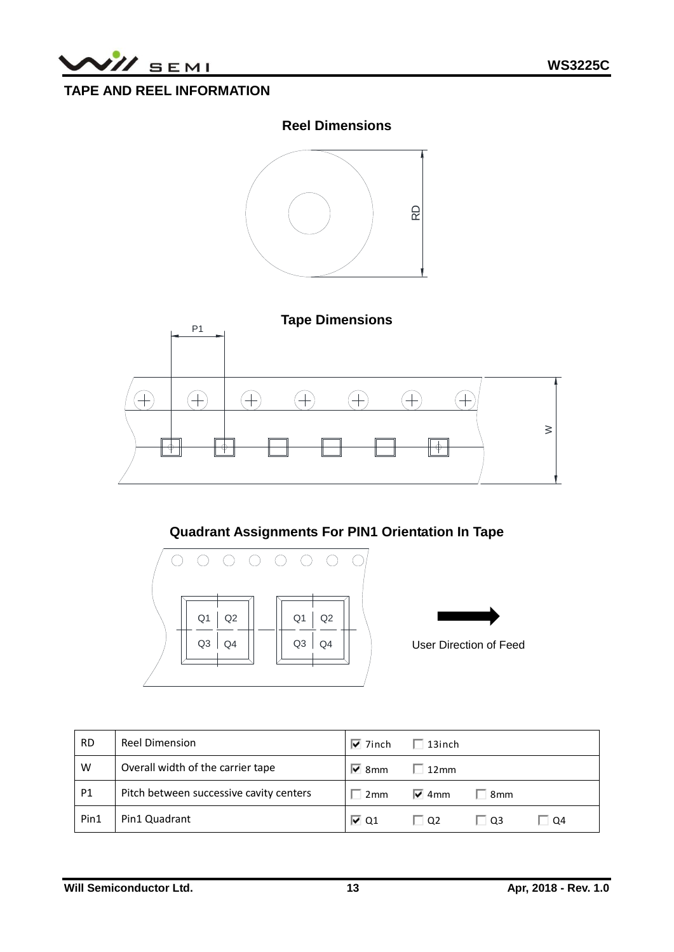

# **TAPE AND REEL INFORMATION**

## **Reel Dimensions**





# **Quadrant Assignments For PIN1 Orientation In Tape**





User Direction of Feed

| <b>RD</b> | <b>Reel Dimension</b>                   | $\overline{V}$ 7inch | $\Box$ 13inch      |       |           |
|-----------|-----------------------------------------|----------------------|--------------------|-------|-----------|
| W         | Overall width of the carrier tape       | $\overline{V}$ 8mm   | $\Box$ 12mm        |       |           |
| <b>P1</b> | Pitch between successive cavity centers | 2mm                  | $\overline{v}$ 4mm | ∃ 8mm |           |
| Pin1      | Pin1 Quadrant                           | $\overline{V}$ Q1    | $\Box$ O2          | l 03  | $\Box$ Q4 |